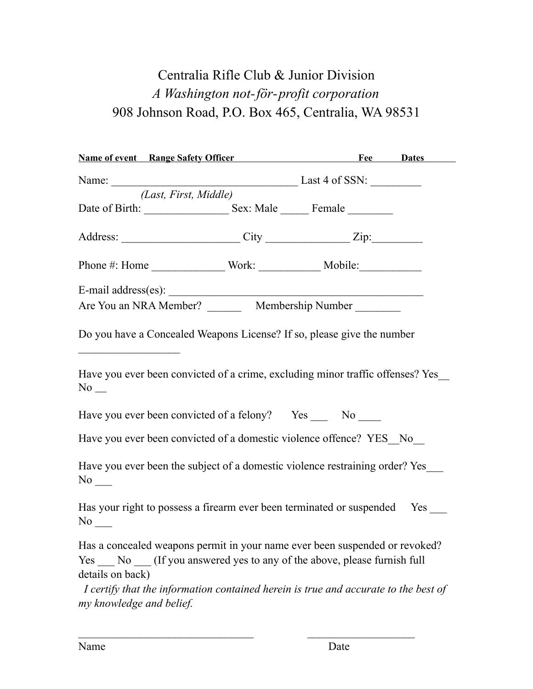## Centralia Rifle Club & Junior Division *A Washington not-för-profit corporation* 908 Johnson Road, P.O. Box 465, Centralia, WA 98531

| <b>Name of event</b> Range Safety Officer Fee Dates                                                                                                             |                       |  |
|-----------------------------------------------------------------------------------------------------------------------------------------------------------------|-----------------------|--|
|                                                                                                                                                                 |                       |  |
|                                                                                                                                                                 | (Last, First, Middle) |  |
|                                                                                                                                                                 |                       |  |
| Address: City City Zip:                                                                                                                                         |                       |  |
|                                                                                                                                                                 |                       |  |
|                                                                                                                                                                 |                       |  |
| Are You an NRA Member? ___________ Membership Number _________                                                                                                  |                       |  |
| Do you have a Concealed Weapons License? If so, please give the number                                                                                          |                       |  |
| Have you ever been convicted of a crime, excluding minor traffic offenses? Yes<br>$No$ $\_\_$                                                                   |                       |  |
| Have you ever been convicted of a felony? Yes ______ No _____                                                                                                   |                       |  |
| Have you ever been convicted of a domestic violence offence? YES_No_                                                                                            |                       |  |
| Have you ever been the subject of a domestic violence restraining order? Yes<br>$No$ <sub>—</sub>                                                               |                       |  |
| Has your right to possess a firearm ever been terminated or suspended Yes<br>$No$ <sub>—</sub>                                                                  |                       |  |
| Has a concealed weapons permit in your name ever been suspended or revoked?<br>Yes _____ No _____ (If you answered yes to any of the above, please furnish full |                       |  |
| details on back)                                                                                                                                                |                       |  |
| I certify that the information contained herein is true and accurate to the best of<br>my knowledge and belief.                                                 |                       |  |